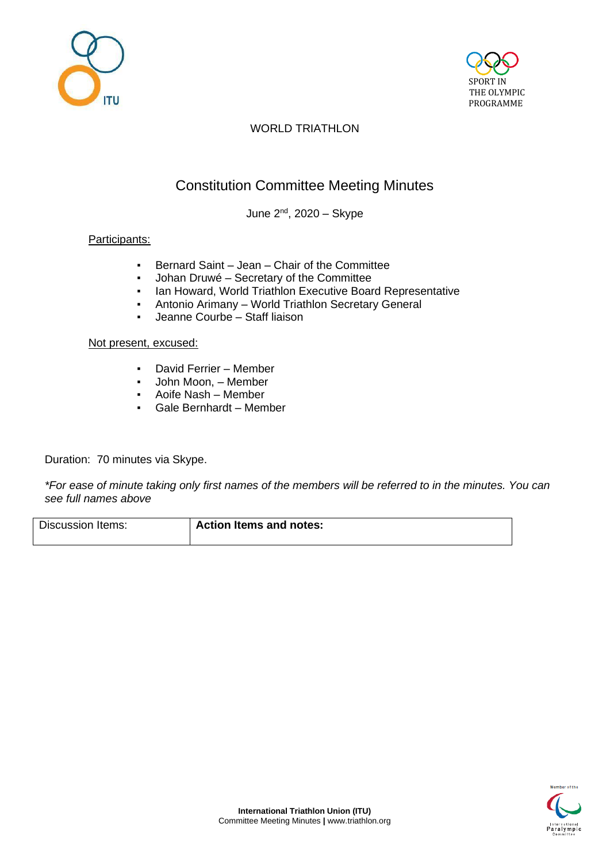



# WORLD TRIATHLON

# Constitution Committee Meeting Minutes

June 2<sup>nd</sup>, 2020 – Skype

## Participants:

- Bernard Saint Jean Chair of the Committee
- Johan Druwé Secretary of the Committee
- Ian Howard, World Triathlon Executive Board Representative
- Antonio Arimany World Triathlon Secretary General
- Jeanne Courbe Staff liaison

#### Not present, excused:

- David Ferrier Member
- John Moon, Member
- Aoife Nash Member
- Gale Bernhardt Member

Duration: 70 minutes via Skype.

*\*For ease of minute taking only first names of the members will be referred to in the minutes. You can see full names above*

| Discussion Items: | <b>Action Items and notes:</b> |
|-------------------|--------------------------------|
|                   |                                |

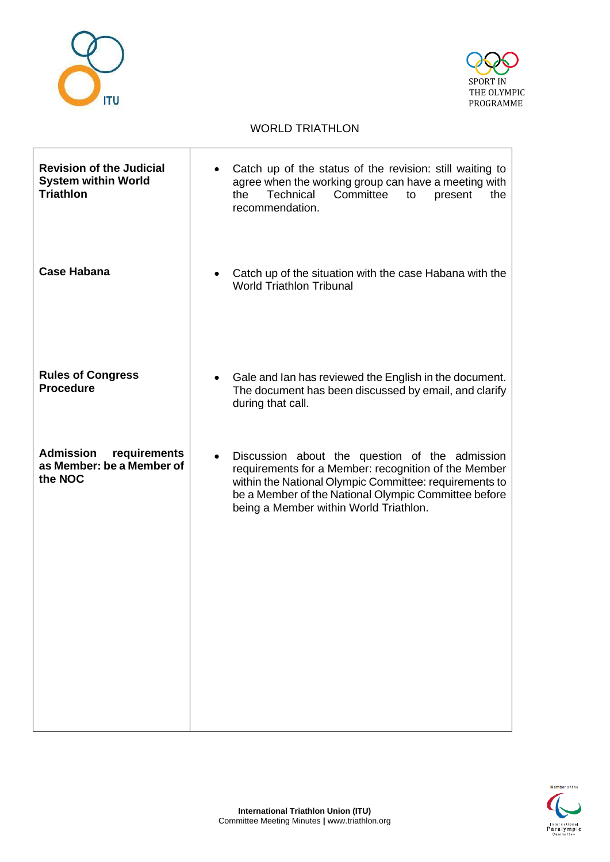



### WORLD TRIATHLON

| <b>Revision of the Judicial</b><br><b>System within World</b><br><b>Triathlon</b> | Catch up of the status of the revision: still waiting to<br>$\bullet$<br>agree when the working group can have a meeting with<br>Technical<br>Committee<br>the<br>to<br>present<br>the<br>recommendation.                                                          |
|-----------------------------------------------------------------------------------|--------------------------------------------------------------------------------------------------------------------------------------------------------------------------------------------------------------------------------------------------------------------|
| <b>Case Habana</b>                                                                | Catch up of the situation with the case Habana with the<br><b>World Triathlon Tribunal</b>                                                                                                                                                                         |
| <b>Rules of Congress</b><br><b>Procedure</b>                                      | Gale and Ian has reviewed the English in the document.<br>The document has been discussed by email, and clarify<br>during that call.                                                                                                                               |
| <b>Admission</b><br>requirements<br>as Member: be a Member of<br>the NOC          | Discussion about the question of the admission<br>requirements for a Member: recognition of the Member<br>within the National Olympic Committee: requirements to<br>be a Member of the National Olympic Committee before<br>being a Member within World Triathlon. |